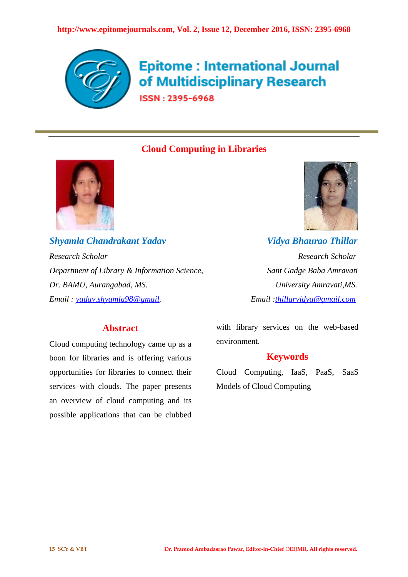

# **Epitome: International Journal** of Multidisciplinary Research

ISSN: 2395-6968

# **Cloud Computing in Libraries**



*Shyamla Chandrakant Yadav Vidya Bhaurao Thillar Research Scholar Research Scholar Department of Library & Information Science, Sant Gadge Baba Amravati Dr. BAMU, Aurangabad, MS. University Amravati,MS. Email : [yadav.shyamla98@gmail.](mailto:yadav.shyamla98@gmail) Email [:thillarvidya@gmail.com](mailto:thillarvidya@gmail.com)*



# **Abstract**

Cloud computing technology came up as a boon for libraries and is offering various opportunities for libraries to connect their services with clouds. The paper presents an overview of cloud computing and its possible applications that can be clubbed

with library services on the web-based environment.

# **Keywords**

Cloud Computing, IaaS, PaaS, SaaS Models of Cloud Computing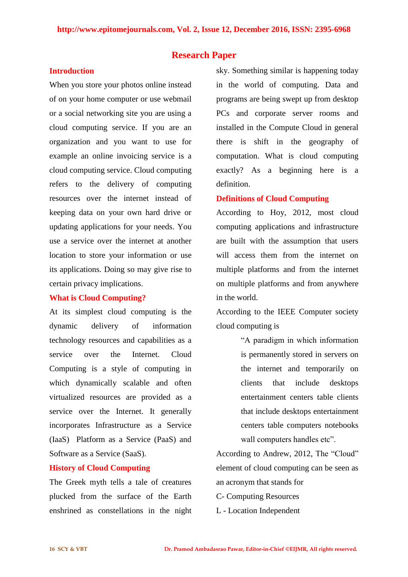## **Research Paper**

## **Introduction**

When you store your photos online instead of on your home computer or use webmail or a social networking site you are using a cloud computing service. If you are an organization and you want to use for example an online invoicing service is a cloud computing service. Cloud computing refers to the delivery of computing resources over the internet instead of keeping data on your own hard drive or updating applications for your needs. You use a service over the internet at another location to store your information or use its applications. Doing so may give rise to certain privacy implications.

#### **What is Cloud Computing?**

At its simplest cloud computing is the dynamic delivery of information technology resources and capabilities as a service over the Internet. Cloud Computing is a style of computing in which dynamically scalable and often virtualized resources are provided as a service over the Internet. It generally incorporates Infrastructure as a Service (IaaS) Platform as a Service (PaaS) and Software as a Service (SaaS).

## **History of Cloud Computing**

The Greek myth tells a tale of creatures plucked from the surface of the Earth enshrined as constellations in the night sky. Something similar is happening today in the world of computing. Data and programs are being swept up from desktop PCs and corporate server rooms and installed in the Compute Cloud in general there is shift in the geography of computation. What is cloud computing exactly? As a beginning here is a definition.

# **Definitions of Cloud Computing**

According to Hoy, 2012, most cloud computing applications and infrastructure are built with the assumption that users will access them from the internet on multiple platforms and from the internet on multiple platforms and from anywhere in the world.

According to the IEEE Computer society cloud computing is

> "A paradigm in which information is permanently stored in servers on the internet and temporarily on clients that include desktops entertainment centers table clients that include desktops entertainment centers table computers notebooks wall computers handles etc".

According to Andrew, 2012, The "Cloud" element of cloud computing can be seen as an acronym that stands for

- C- Computing Resources
- L Location Independent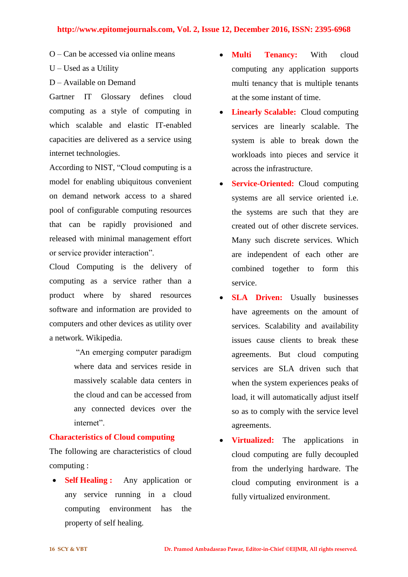#### **http://www.epitomejournals.com, Vol. 2, Issue 12, December 2016, ISSN: 2395-6968**

- O Can be accessed via online means
- U Used as a Utility
- D Available on Demand

Gartner IT Glossary defines cloud computing as a style of computing in which scalable and elastic IT-enabled capacities are delivered as a service using internet technologies.

According to NIST, "Cloud computing is a model for enabling ubiquitous convenient on demand network access to a shared pool of configurable computing resources that can be rapidly provisioned and released with minimal management effort or service provider interaction".

Cloud Computing is the delivery of computing as a service rather than a product where by shared resources software and information are provided to computers and other devices as utility over a network. Wikipedia.

> "An emerging computer paradigm where data and services reside in massively scalable data centers in the cloud and can be accessed from any connected devices over the internet".

#### **Characteristics of Cloud computing**

The following are characteristics of cloud computing :

• **Self Healing :** Any application or any service running in a cloud computing environment has the property of self healing.

- **Multi Tenancy:** With cloud computing any application supports multi tenancy that is multiple tenants at the some instant of time.
- **Linearly Scalable:** Cloud computing services are linearly scalable. The system is able to break down the workloads into pieces and service it across the infrastructure.
- **Service-Oriented:** Cloud computing systems are all service oriented i.e. the systems are such that they are created out of other discrete services. Many such discrete services. Which are independent of each other are combined together to form this service.
- **SLA Driven:** Usually businesses have agreements on the amount of services. Scalability and availability issues cause clients to break these agreements. But cloud computing services are SLA driven such that when the system experiences peaks of load, it will automatically adjust itself so as to comply with the service level agreements.
- **Virtualized:** The applications in cloud computing are fully decoupled from the underlying hardware. The cloud computing environment is a fully virtualized environment.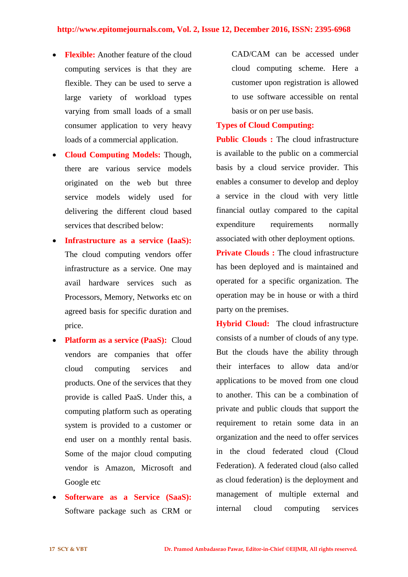- **Flexible:** Another feature of the cloud computing services is that they are flexible. They can be used to serve a large variety of workload types varying from small loads of a small consumer application to very heavy loads of a commercial application.
- **Cloud Computing Models:** Though, there are various service models originated on the web but three service models widely used for delivering the different cloud based services that described below:
- **Infrastructure as a service (IaaS):** The cloud computing vendors offer infrastructure as a service. One may avail hardware services such as Processors, Memory, Networks etc on agreed basis for specific duration and price.
- **Platform as a service (PaaS):** Cloud vendors are companies that offer cloud computing services and products. One of the services that they provide is called PaaS. Under this, a computing platform such as operating system is provided to a customer or end user on a monthly rental basis. Some of the major cloud computing vendor is Amazon, Microsoft and Google etc
- **Softerware as a Service (SaaS):** Software package such as CRM or

CAD/CAM can be accessed under cloud computing scheme. Here a customer upon registration is allowed to use software accessible on rental basis or on per use basis.

#### **Types of Cloud Computing:**

**Public Clouds :** The cloud infrastructure is available to the public on a commercial basis by a cloud service provider. This enables a consumer to develop and deploy a service in the cloud with very little financial outlay compared to the capital expenditure requirements normally associated with other deployment options.

**Private Clouds :** The cloud infrastructure has been deployed and is maintained and operated for a specific organization. The operation may be in house or with a third party on the premises.

**Hybrid Cloud:** The cloud infrastructure consists of a number of clouds of any type. But the clouds have the ability through their interfaces to allow data and/or applications to be moved from one cloud to another. This can be a combination of private and public clouds that support the requirement to retain some data in an organization and the need to offer services in the cloud federated cloud (Cloud Federation). A federated cloud (also called as cloud federation) is the deployment and management of multiple external and internal cloud computing services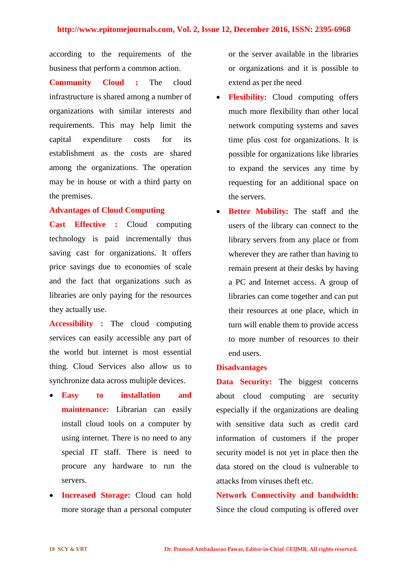according to the requirements of the business that perform a common action.

**Community Cloud :** The cloud infrastructure is shared among a number of organizations with similar interests and requirements. This may help limit the capital expenditure costs for its establishment as the costs are shared among the organizations. The operation may be in house or with a third party on the premises.

## **Advantages of Cloud Computing**

**Cast Effective :** Cloud computing technology is paid incrementally thus saving cast for organizations. It offers price savings due to economies of scale and the fact that organizations such as libraries are only paying for the resources they actually use.

**Accessibility :** The cloud computing services can easily accessible any part of the world but internet is most essential thing. Cloud Services also allow us to synchronize data across multiple devices.

- **Easy to installation and maintenance:** Librarian can easily install cloud tools on a computer by using internet. There is no need to any special IT staff. There is need to procure any hardware to run the servers.
- **Increased Storage:** Cloud can hold more storage than a personal computer

or the server available in the libraries or organizations and it is possible to extend as per the need

- **Flexibility:** Cloud computing offers much more flexibility than other local network computing systems and saves time plus cost for organizations. It is possible for organizations like libraries to expand the services any time by requesting for an additional space on the servers.
- **Better Mobility:** The staff and the users of the library can connect to the library servers from any place or from wherever they are rather than having to remain present at their desks by having a PC and Internet access. A group of libraries can come together and can put their resources at one place, which in turn will enable them to provide access to more number of resources to their end users.

#### **Disadvantages**

**Data Security:** The biggest concerns about cloud computing are security especially if the organizations are dealing with sensitive data such as credit card information of customers if the proper security model is not yet in place then the data stored on the cloud is vulnerable to attacks from viruses theft etc.

**Network Connectivity and bandwidth:** Since the cloud computing is offered over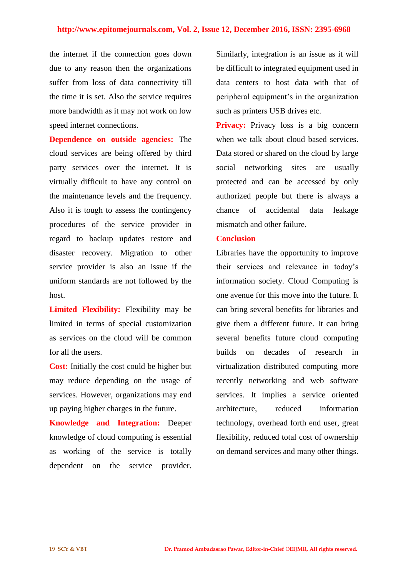#### **http://www.epitomejournals.com, Vol. 2, Issue 12, December 2016, ISSN: 2395-6968**

the internet if the connection goes down due to any reason then the organizations suffer from loss of data connectivity till the time it is set. Also the service requires more bandwidth as it may not work on low speed internet connections.

**Dependence on outside agencies:** The cloud services are being offered by third party services over the internet. It is virtually difficult to have any control on the maintenance levels and the frequency. Also it is tough to assess the contingency procedures of the service provider in regard to backup updates restore and disaster recovery. Migration to other service provider is also an issue if the uniform standards are not followed by the host.

**Limited Flexibility:** Flexibility may be limited in terms of special customization as services on the cloud will be common for all the users.

**Cost:** Initially the cost could be higher but may reduce depending on the usage of services. However, organizations may end up paying higher charges in the future.

**Knowledge and Integration:** Deeper knowledge of cloud computing is essential as working of the service is totally dependent on the service provider.

Similarly, integration is an issue as it will be difficult to integrated equipment used in data centers to host data with that of peripheral equipment's in the organization such as printers USB drives etc.

**Privacy:** Privacy loss is a big concern when we talk about cloud based services. Data stored or shared on the cloud by large social networking sites are usually protected and can be accessed by only authorized people but there is always a chance of accidental data leakage mismatch and other failure.

## **Conclusion**

Libraries have the opportunity to improve their services and relevance in today's information society. Cloud Computing is one avenue for this move into the future. It can bring several benefits for libraries and give them a different future. It can bring several benefits future cloud computing builds on decades of research in virtualization distributed computing more recently networking and web software services. It implies a service oriented architecture, reduced information technology, overhead forth end user, great flexibility, reduced total cost of ownership on demand services and many other things.